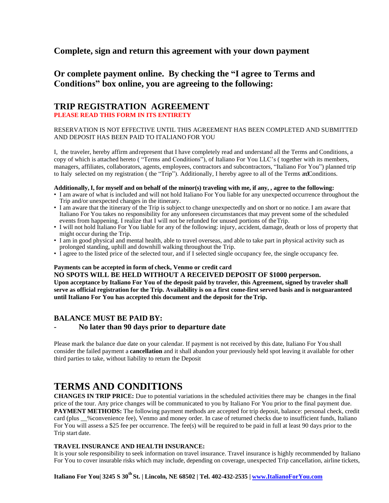## **Complete, sign and return this agreement with your down payment**

# **Or complete payment online. By checking the "I agree to Terms and Conditions" box online, you are agreeing to the following:**

### **TRIP REGISTRATION AGREEMENT PLEASE READ THIS FORM IN ITS ENTIRETY**

#### RESERVATION IS NOT EFFECTIVE UNTIL THIS AGREEMENT HAS BEEN COMPLETED AND SUBMITTED AND DEPOSIT HAS BEEN PAID TO ITALIANO FOR YOU

I, the traveler, hereby affirm andrepresent that I have completely read and understand all the Terms and Conditions, a copy of which is attached hereto ( "Terms and Conditions"), of Italiano For You LLC's ( together with its members, managers, affiliates, collaborators, agents, employees, contractors and subcontractors, "Italiano For You") planned trip to Italy selected on my registration ( the "Trip"). Additionally, I hereby agree to all of the Terms and Conditions.

#### Additionally, I, for myself and on behalf of the minor(s) traveling with me, if any, , agree to the following:

- I am aware of what is included and will not hold Italiano For You liable for any unexpected occurrence throughout the Trip and/or unexpected changes in the itinerary.
- I am aware that the itinerary of the Trip is subject to change unexpectedly and on short or no notice. I am aware that Italiano For You takes no responsibility for any unforeseen circumstances that may prevent some of the scheduled events from happening. I realize that I will not be refunded for unused portions of theTrip.
- I will not hold Italiano For You liable for any of the following: injury, accident, damage, death or loss of property that might occur during the Trip.
- I am in good physical and mental health, able to travel overseas, and able to take part in physical activity such as prolonged standing, uphill and downhill walking throughout the Trip.
- I agree to the listed price of the selected tour, and if I selected single occupancy fee, the single occupancy fee.

#### **Payments can be accepted in form of check, Venmo or credit card**

**NO SPOTS WILL BE HELD WITHOUT A RECEIVED DEPOSIT OF \$1000 perperson.** Upon acceptance by Italiano For You of the deposit paid by traveler, this Agreement, signed by traveler shall serve as official registration for the Trip. Availability is on a first come-first served basis and is not guaranteed **until Italiano For You has accepted this document and the deposit for theTrip.**

## **BALANCE MUST BE PAID BY:**

## **- No later than 90 days prior to departure date**

Please mark the balance due date on your calendar. If payment is not received by this date, Italiano For You shall consider the failed payment a **cancellation** and it shall abandon your previously held spot leaving it available for other third parties to take, without liability to return the Deposit

# **TERMS AND CONDITIONS**

**CHANGES IN TRIP PRICE:** Due to potential variations in the scheduled activities there may be changes in the final price of the tour. Any price changes will be communicated to you by Italiano For You prior to the final payment due. **PAYMENT METHODS:** The following payment methods are accepted for trip deposit, balance: personal check, credit card (plus \_\_%convenience fee), Venmo and money order. In case of returned checks due to insufficient funds, Italiano For You will assess a \$25 fee per occurrence. The fee(s) will be required to be paid in full at least 90 days prior to the Trip start date.

#### **TRAVEL INSURANCE AND HEALTH INSURANCE:**

It is your sole responsibility to seek information on travel insurance. Travel insurance is highly recommended by Italiano For You to cover insurable risks which may include, depending on coverage, unexpected Trip cancellation, airline tickets,

**Italiano For You| 3245 S 30th St. | Lincoln, NE 68502 | Tel. 402-432-2535 | [www.ItalianoForYou.com](http://www.italianoforyou.com/)**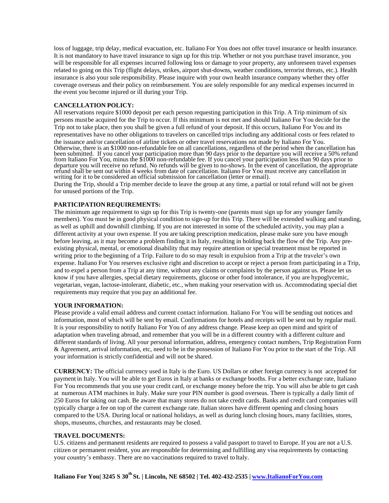loss of luggage, trip delay, medical evacuation, etc. Italiano For You does not offer travel insurance or health insurance. It is not mandatory to have travel insurance to sign up for this trip. Whether or not you purchase travel insurance, you will be responsible for all expenses incurred following loss or damage to your property, any unforeseen travel expenses related to going on this Trip (flight delays, strikes, airport shut-downs, weather conditions, terrorist threats, etc.). Health insurance is also your sole responsibility. Please inquire with your own health insurance company whether they offer coverage overseas and their policy on reimbursement. You are solely responsible for any medical expenses incurred in the event you become injured or ill during your Trip.

#### **CANCELLATION POLICY:**

All reservations require \$1000 deposit per each person requesting participation in this Trip. A Trip minimum of six persons mustbe acquired for the Trip to occur. If this minimum is not met and should Italiano For You decide for the Trip not to take place, then you shall be given a full refund of your deposit. If this occurs, Italiano For You and its representatives have no other obligations to travelers on cancelled trips including any additional costs or fees related to the issuance and/or cancellation of airline tickets or other travel reservations not made by Italiano For You. Otherwise, there is an \$1000 non-refundable fee on all cancellations, regardless of the period when the cancellation has been submitted. If you cancel your participation more than 90 days prior to the departure you will receive a 50% refund from Italiano For You, minus the \$1000 non-refundable fee. If you cancel your participation less than 90 days prior to departure you will receive no refund. No refunds will be given to no-shows. In the event of cancellation, the appropriate refund shall be sent out within 4 weeks from date of cancellation. Italiano For You must receive any cancellation in writing for it to be considered an official submission for cancellation (letter or email).

During the Trip, should a Trip member decide to leave the group at any time, a partial or total refund will not be given for unused portions of the Trip.

#### **PARTICIPATION REQUIREMENTS:**

The minimum age requirement to sign up for this Trip is twenty-one (parents must sign up for any younger family members). You must be in good physical condition to sign-up for this Trip. There will be extended walking and standing, as well as uphill and downhill climbing. If you are not interested in some of the scheduled activity, you may plan a different activity at your own expense. If you are taking prescription medication, please make sure you have enough before leaving, as it may become a problem finding it in Italy, resulting in holding back the flow of the Trip. Any preexisting physical, mental, or emotional disability that may require attention or special treatment must be reported in writing prior to the beginning of a Trip. Failure to do so may result in expulsion from a Trip at the traveler's own expense. Italiano For You reserves exclusive right and discretion to accept or reject a person from participating in a Trip, and to expel a person from a Trip at any time, without any claims or complaints by the person against us. Please let us know if you have allergies, special dietary requirements, glucose or other food intolerance, if you are hypoglycemic, vegetarian, vegan, lactose-intolerant, diabetic, etc., when making your reservation with us. Accommodating special diet requirements may require that you pay an additional fee.

#### **YOUR INFORMATION:**

Please provide a valid email address and current contact information. Italiano For You will be sending out notices and information, most of which will be sent by email. Confirmations for hotels and receipts will be sent out by regular mail. It is your responsibility to notify Italiano For You of any address change. Please keep an open mind and spirit of adaptation when traveling abroad, and remember that you will be in a different country with a different culture and different standards of living. All your personal information, address, emergency contact numbers, Trip Registration Form & Agreement, arrival information, etc, need to be in the possession of Italiano For You prior to the start of the Trip. All your information is strictly confidential and will not be shared.

**CURRENCY:** The official currency used in Italy is the Euro. US Dollars or other foreign currency is not accepted for payment in Italy. You will be able to get Euros in Italy at banks or exchange booths. For a better exchange rate, Italiano For You recommends that you use your credit card, or exchange money before the trip. You will also be able to get cash at numerous ATM machines in Italy. Make sure your PIN number is good overseas. There is typically a daily limit of 250 Euros for taking out cash. Be aware that many stores do not take credit cards. Banks and credit card companies will typically charge a fee on top of the current exchange rate. Italian stores have different opening and closing hours compared to the USA. During local or national holidays, as well as during lunch closing hours, many facilities, stores, shops, museums, churches, and restaurants may be closed.

#### **TRAVEL DOCUMENTS:**

U.S. citizens and permanent residents are required to possess a valid passport to travel to Europe. If you are not a U.S. citizen or permanent resident, you are responsible for determining and fulfilling any visa requirements by contacting your country's embassy. There are no vaccinations required to travel to Italy.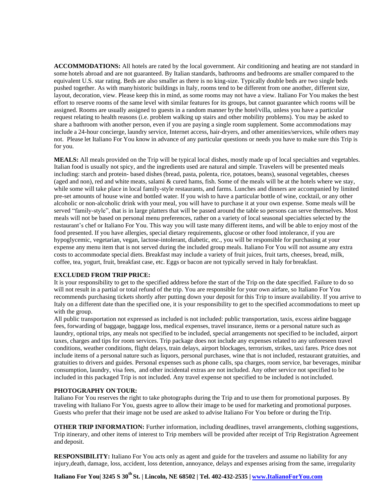**ACCOMMODATIONS:** All hotels are rated by the local government. Air conditioning and heating are not standard in some hotels abroad and are not guaranteed. By Italian standards, bathrooms and bedrooms are smaller compared to the equivalent U.S. star rating. Beds are also smaller as there is no king-size. Typically double beds are two single beds pushed together. As with manyhistoric buildings in Italy, rooms tend to be different from one another, different size, layout, decoration, view. Please keep this in mind, as some rooms may not have a view. Italiano For You makes the best effort to reserve rooms of the same level with similar features for its groups, but cannot guarantee which rooms will be assigned. Rooms are usually assigned to guests in a random manner bythe hotel/villa, unless you have a particular request relating to health reasons (i.e. problem walking up stairs and other mobility problems). You may be asked to share a bathroom with another person, even if you are paying a single room supplement. Some accommodations may include a 24-hour concierge, laundry service, Internet access, hair-dryers, and other amenities/services, while others may not. Please let Italiano For You know in advance of any particular questions or needs you have to make sure this Trip is for you.

**MEALS:** All meals provided on the Trip will be typical local dishes, mostly made up of local specialties and vegetables. Italian food is usually not spicy, and the ingredients used are natural and simple. Travelers will be presented meals including: starch and protein- based dishes (bread, pasta, polenta, rice, potatoes, beans), seasonal vegetables, cheeses (aged and non), red and white meats, salami & cured hams, fish. Some of the meals will be at the hotels where we stay, while some will take place in local family-style restaurants, and farms. Lunches and dinners are accompanied by limited pre-set amounts of house wine and bottled water. If you wish to have a particular bottle of wine, cocktail, or any other alcoholic or non-alcoholic drink with your meal, you will have to purchase it at your own expense. Some meals will be served "family-style", that is in large platters that will be passed around the table so persons can serve themselves. Most meals will not be based on personal menu preferences, rather on a variety of local seasonal specialties selected by the restaurant's chef or Italiano For You. This way you will taste many different items, and will be able to enjoy most of the food presented. If you have allergies, special dietary requirements, glucose or other food intolerance, if you are hypoglycemic, vegetarian, vegan, lactose-intolerant, diabetic, etc., you will be responsible for purchasing at your expense any menu item that is not served during the included group meals. Italiano For You will not assume any extra costs to accommodate special diets. Breakfast may include a variety of fruit juices, fruit tarts, cheeses, bread, milk, coffee, tea, yogurt, fruit, breakfast case, etc. Eggs or bacon are not typically served in Italy for breakfast.

#### **EXCLUDED FROM TRIP PRICE:**

It is your responsibility to get to the specified address before the start of the Trip on the date specified. Failure to do so will not result in a partial or total refund of the trip. You are responsible for your own airfare, so Italiano For You recommends purchasing tickets shortly after putting down your deposit for this Trip to insure availability. If you arrive to Italy on a different date than the specified one, it is your responsibility to get to the specified accommodations to meet up with the group.

All public transportation not expressed as included is not included: public transportation, taxis, excess airline baggage fees, forwarding of baggage, baggage loss, medical expenses, travel insurance, items or a personal nature such as laundry, optional trips, any meals not specified to be included, special arrangements not specified to be included, airport taxes, charges and tips for room services. Trip package does not include any expenses related to any unforeseen travel conditions, weather conditions, flight delays, train delays, airport blockages, terrorism, strikes, taxi fares. Price does not include items of a personal nature such as liquors, personal purchases, wine that is not included, restaurant gratuities, and gratuities to drivers and guides. Personal expenses such as phone calls, spa charges, room service, bar beverages, minibar consumption, laundry, visa fees, and other incidental extras are not included. Any other service not specified to be included in this packaged Trip is not included. Any travel expense not specified to be included is not included.

#### **PHOTOGRAPHY ON TOUR:**

Italiano For You reserves the right to take photographs during the Trip and to use them for promotional purposes. By traveling with Italiano For You, guests agree to allow their image to be used for marketing and promotional purposes. Guests who prefer that their image not be used are asked to advise Italiano For You before or during theTrip.

**OTHER TRIP INFORMATION:** Further information, including deadlines, travel arrangements, clothing suggestions, Trip itinerary, and other items of interest to Trip members will be provided after receipt of Trip Registration Agreement and deposit.

**RESPONSIBILITY:** Italiano For You acts only as agent and guide for the travelers and assume no liability for any injury,death, damage, loss, accident, loss detention, annoyance, delays and expenses arising from the same, irregularity

**Italiano For You| 3245 S 30th St. | Lincoln, NE 68502 | Tel. 402-432-2535 | [www.ItalianoForYou.com](http://www.italianoforyou.com/)**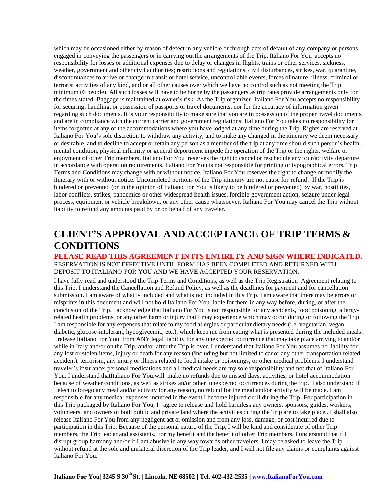which may be occasioned either by reason of defect in any vehicle or through acts of default of any company or persons engaged in conveying the passengers or in carrying outthe arrangements of the Trip. Italiano For You accepts no responsibility for losses or additional expenses due to delay or changes in flights, trains or other services, sickness, weather, government and other civil authorities; restrictions and regulations, civil disturbances, strikes, war, quarantine, discontinuances to arrive or change in transit or hotel service, uncontrollable events, forces of nature, illness, criminal or terrorist activities of any kind, and or all other causes over which we have no control such as not meeting the Trip minimum (6 people). All such losses will have to be borne by the passengers as trip rates provide arrangements only for the times stated. Baggage is maintained at owner's risk. As the Trip organizer, Italiano For You accepts no responsibility for securing, handling, or possession of passports or travel documents; nor for the accuracy of information given regarding such documents. It is your responsibility to make sure that you are in possession of the proper travel documents and are in compliance with the current carrier and government regulations. Italiano For You takes no responsibility for items forgotten at any of the accommodations where you have lodged at any time during the Trip. Rights are reserved at Italiano For You's sole discretion to withdraw any activity, and to make any changed in the itinerary we deem necessary or desirable, and to decline to accept or retain any person as a member of the trip at any time should such person's health, mental condition, physical infirmity or general deportment impede the operation of the Trip or the rights, welfare or enjoyment of other Trip members. Italiano For You reserves the right to cancel or reschedule any tour/activity departure in accordance with operation requirements. Italiano For You is not responsible for printing or typographical errors. Trip Terms and Conditions may change with or without notice. Italiano For You reserves the right to change or modify the itinerary with or without notice. Uncompleted portions of the Trip itinerary are not cause for refund. If the Trip is hindered or prevented (or in the opinion of Italiano For You is likely to be hindered or prevented) by war, hostilities, labor conflicts, strikes, pandemics or other widespread health issues, forcible government action, seizure under legal process, equipment or vehicle breakdown, or any other cause whatsoever, Italiano For You may cancel the Trip without liability to refund any amounts paid by or on behalf of any traveler.

# **CLIENT'S APPROVAL AND ACCEPTANCE OF TRIP TERMS & CONDITIONS**

#### **PLEASE READ THIS AGREEMENT IN ITS ENTIRETY AND SIGN WHERE INDICATED.** RESERVATION IS NOT EFFECTIVE UNTIL FORM HAS BEEN COMPLETED AND RETURNED WITH DEPOSIT TO ITALIANO FOR YOU AND WE HAVE ACCEPTED YOUR RESERVATION.

I have fully read and understood the Trip Terms and Conditions, as well as the Trip Registration Agreement relating to this Trip. I understand the Cancellation and Refund Policy, as well as the deadlines for payment and for cancellation submission. I am aware of what is included and what is not included in this Trip. I am aware that there may be errors or misprints in this document and will not hold Italiano For You liable for them in any way before, during, or after the conclusion of the Trip. I acknowledge that Italiano For You is not responsible for any accidents, food poisoning, allergyrelated health problems, or any other harm or injury that I may experience which may occur during or following the Trip. I am responsible for any expenses that relate to my food allergies or particular dietary needs (i.e. vegetarian, vegan, diabetic, glucose-intolerant, hypoglycemic, etc.), which keep me from eating what is presented during the included meals. I release Italiano For You from ANY legal liability for any unexpected occurrence that may take place arriving to and/or while in Italy and/or on the Trip, and/or after the Trip is over. I understand that Italiano For You assumes no liability for any lost or stolen items, injury or death for any reason (including but not limited to car or any other transportation related accident), terrorism, any injury or illness related to food intake or poisonings, or other medical problems. I understand traveler's insurance; personal medications and all medical needs are my sole responsibility and not that of Italiano For You. I understand thatItaliano For You.will make no refunds due to missed days, activities, or hotel accommodation because of weather conditions, as well as strikes an/or other unexpected occurrences during the trip. I also understand if I elect to forego any meal and/or activity for any reason, no refund for the meal and/or activity will be made. I am responsible for any medical expenses incurred in the event I become injured or ill during the Trip. For participation in this Trip packaged by Italiano For You, I agree to release and hold harmless any owners, sponsors, guides, workers, volunteers, and owners of both public and private land where the activities during the Trip are to take place.. I shall also release Italiano For You from any negligent act or omission and from any loss, damage, or cost incurred due to participation in this Trip. Because of the personal nature of the Trip, I will be kind and considerate of other Trip members, the Trip leader and assistants. For my benefit and the benefit of other Trip members, I understand that if I disrupt group harmony and/or if I am abusive in any way towards other travelers, I may be asked to leave the Trip without refund at the sole and unilateral discretion of the Trip leader, and I will not file any claims or complaints against Italiano For You.